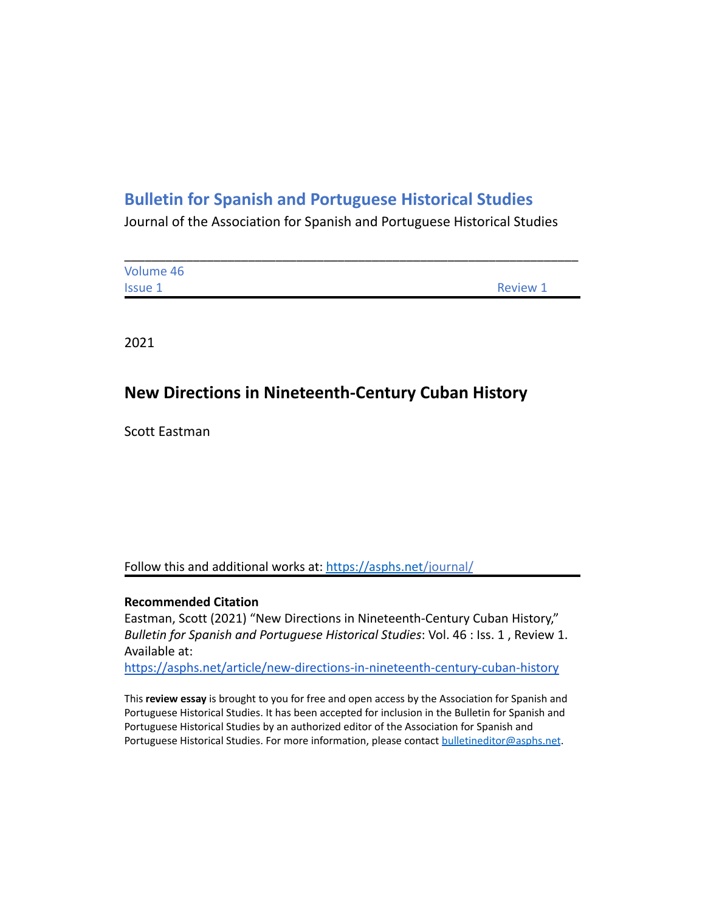## **Bulletin for Spanish and Portuguese Historical Studies**

Journal of the Association for Spanish and Portuguese Historical Studies

| Volume 46 |                 |
|-----------|-----------------|
| Issue 1   | <b>Review 1</b> |

2021

## **New Directions in Nineteenth-Century Cuban History**

Scott Eastman

Follow this and additional works at: <https://asphs.net/journal/>

## **Recommended Citation**

Eastman, Scott (2021) "New Directions in Nineteenth-Century Cuban History," *Bulletin for Spanish and Portuguese Historical Studies*: Vol. 46 : Iss. 1 , Review 1. Available at:

<https://asphs.net/article/new-directions-in-nineteenth-century-cuban-history>

This **review essay** is brought to you for free and open access by the Association for Spanish and Portuguese Historical Studies. It has been accepted for inclusion in the Bulletin for Spanish and Portuguese Historical Studies by an authorized editor of the Association for Spanish and Portuguese Historical Studies. For more information, please contact [bulletineditor@asphs.net](mailto:bulletineditor@asphs.net).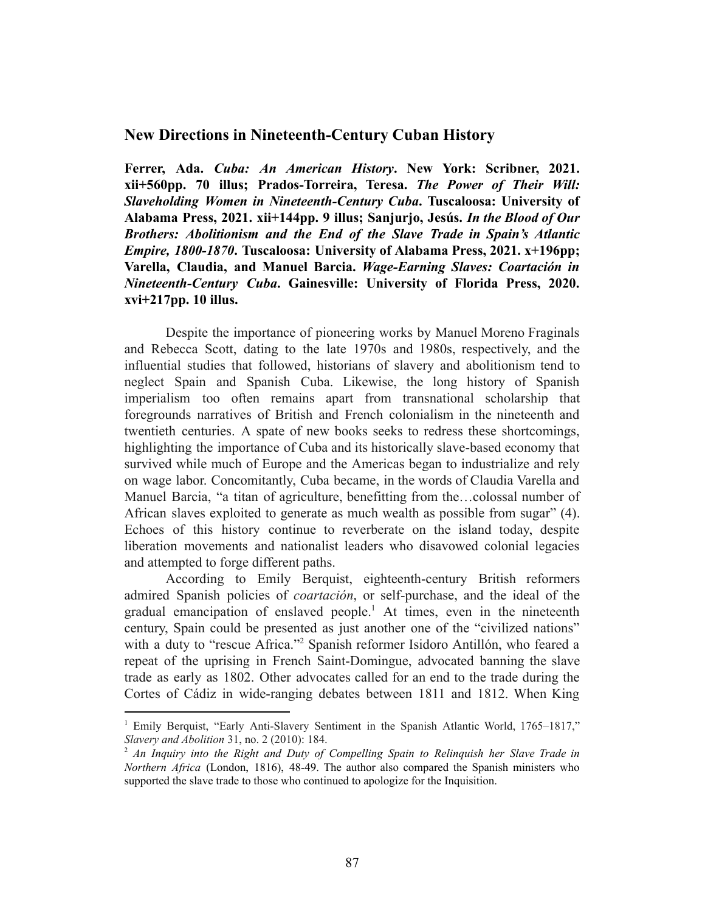## **New Directions in Nineteenth-Century Cuban History**

**Ferrer, Ada.** *Cuba: An American History***. New York: Scribner, 2021. xii+560pp. 70 illus; Prados-Torreira, Teresa.** *The Power of Their Will: Slaveholding Women in Nineteenth-Century Cuba***. Tuscaloosa: University of Alabama Press, 2021. xii+144pp. 9 illus; Sanjurjo, Jesús.** *In the Blood of Our Brothers: Abolitionism and the End of the Slave Trade in Spain's Atlantic Empire, 1800-1870***. Tuscaloosa: University of Alabama Press, 2021. x+196pp; Varella, Claudia, and Manuel Barcia.** *Wage-Earning Slaves: Coartación in Nineteenth-Century Cuba***. Gainesville: University of Florida Press, 2020. xvi+217pp. 10 illus.**

Despite the importance of pioneering works by Manuel Moreno Fraginals and Rebecca Scott, dating to the late 1970s and 1980s, respectively, and the influential studies that followed, historians of slavery and abolitionism tend to neglect Spain and Spanish Cuba. Likewise, the long history of Spanish imperialism too often remains apart from transnational scholarship that foregrounds narratives of British and French colonialism in the nineteenth and twentieth centuries. A spate of new books seeks to redress these shortcomings, highlighting the importance of Cuba and its historically slave-based economy that survived while much of Europe and the Americas began to industrialize and rely on wage labor. Concomitantly, Cuba became, in the words of Claudia Varella and Manuel Barcia, "a titan of agriculture, benefitting from the…colossal number of African slaves exploited to generate as much wealth as possible from sugar" (4). Echoes of this history continue to reverberate on the island today, despite liberation movements and nationalist leaders who disavowed colonial legacies and attempted to forge different paths.

According to Emily Berquist, eighteenth-century British reformers admired Spanish policies of *coartación*, or self-purchase, and the ideal of the gradual emancipation of enslaved people.<sup>1</sup> At times, even in the nineteenth century, Spain could be presented as just another one of the "civilized nations" with a duty to "rescue Africa."<sup>2</sup> Spanish reformer Isidoro Antillón, who feared a repeat of the uprising in French Saint-Domingue, advocated banning the slave trade as early as 1802. Other advocates called for an end to the trade during the Cortes of Cádiz in wide-ranging debates between 1811 and 1812. When King

<sup>&</sup>lt;sup>1</sup> Emily Berquist, "Early Anti-Slavery Sentiment in the Spanish Atlantic World, 1765–1817," *Slavery and Abolition* 31, no. 2 (2010): 184.

<sup>2</sup> *An Inquiry into the Right and Duty of Compelling Spain to Relinquish her Slave Trade in Northern Africa* (London, 1816), 48-49. The author also compared the Spanish ministers who supported the slave trade to those who continued to apologize for the Inquisition.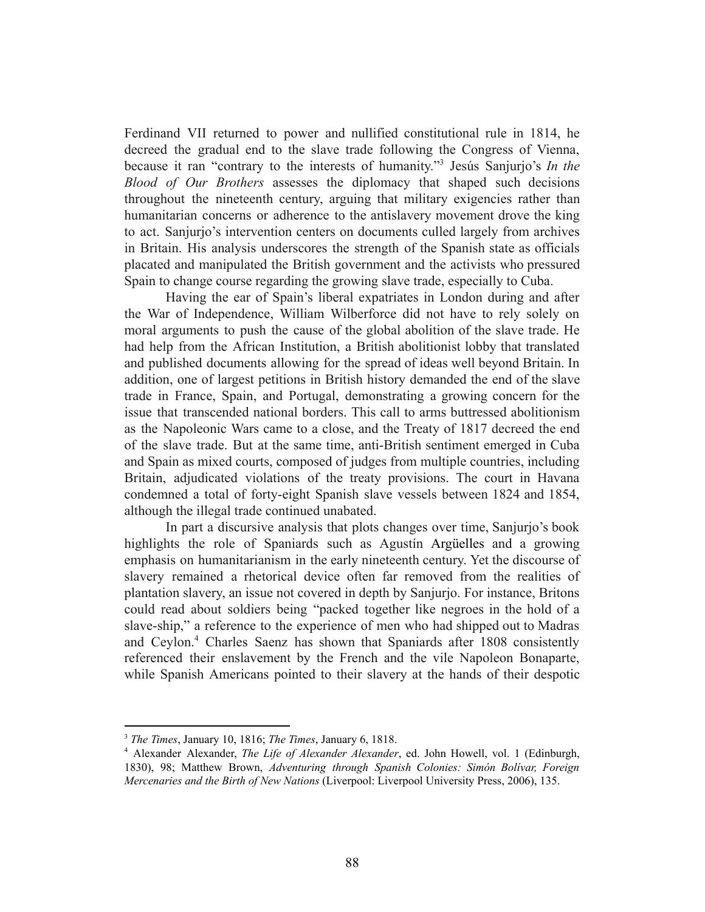Ferdinand VII returned to power and nullified constitutional rule in 1814, he decreed the gradual end to the slave trade following the Congress of Vienna, because it ran "contrary to the interests of humanity." Jesús Sanjurjo's *In the* <sup>3</sup> *Blood of Our Brothers* assesses the diplomacy that shaped such decisions throughout the nineteenth century, arguing that military exigencies rather than humanitarian concerns or adherence to the antislavery movement drove the king to act. Sanjurjo's intervention centers on documents culled largely from archives in Britain. His analysis underscores the strength of the Spanish state as officials placated and manipulated the British government and the activists who pressured Spain to change course regarding the growing slave trade, especially to Cuba.

Having the ear of Spain's liberal expatriates in London during and after the War of Independence, William Wilberforce did not have to rely solely on moral arguments to push the cause of the global abolition of the slave trade. He had help from the African Institution, a British abolitionist lobby that translated and published documents allowing for the spread of ideas well beyond Britain. In addition, one of largest petitions in British history demanded the end of the slave trade in France, Spain, and Portugal, demonstrating a growing concern for the issue that transcended national borders. This call to arms buttressed abolitionism as the Napoleonic Wars came to a close, and the Treaty of 1817 decreed the end of the slave trade. But at the same time, anti-British sentiment emerged in Cuba and Spain as mixed courts, composed of judges from multiple countries, including Britain, adjudicated violations of the treaty provisions. The court in Havana condemned a total of forty-eight Spanish slave vessels between 1824 and 1854, although the illegal trade continued unabated.

In part a discursive analysis that plots changes over time, Sanjurjo's book highlights the role of Spaniards such as Agustín Argüelles and a growing emphasis on humanitarianism in the early nineteenth century. Yet the discourse of slavery remained a rhetorical device often far removed from the realities of plantation slavery, an issue not covered in depth by Sanjurjo. For instance, Britons could read about soldiers being "packed together like negroes in the hold of a slave-ship," a reference to the experience of men who had shipped out to Madras and Ceylon.<sup>4</sup> Charles Saenz has shown that Spaniards after 1808 consistently referenced their enslavement by the French and the vile Napoleon Bonaparte, while Spanish Americans pointed to their slavery at the hands of their despotic

<sup>3</sup> *The Times*, January 10, 1816; *The Times*, January 6, 1818.

<sup>4</sup> Alexander Alexander, *The Life of Alexander Alexander*, ed. John Howell, vol. 1 (Edinburgh, 1830), 98; Matthew Brown, *Adventuring through Spanish Colonies: Simón Bolívar, Foreign Mercenaries and the Birth of New Nations* (Liverpool: Liverpool University Press, 2006), 135.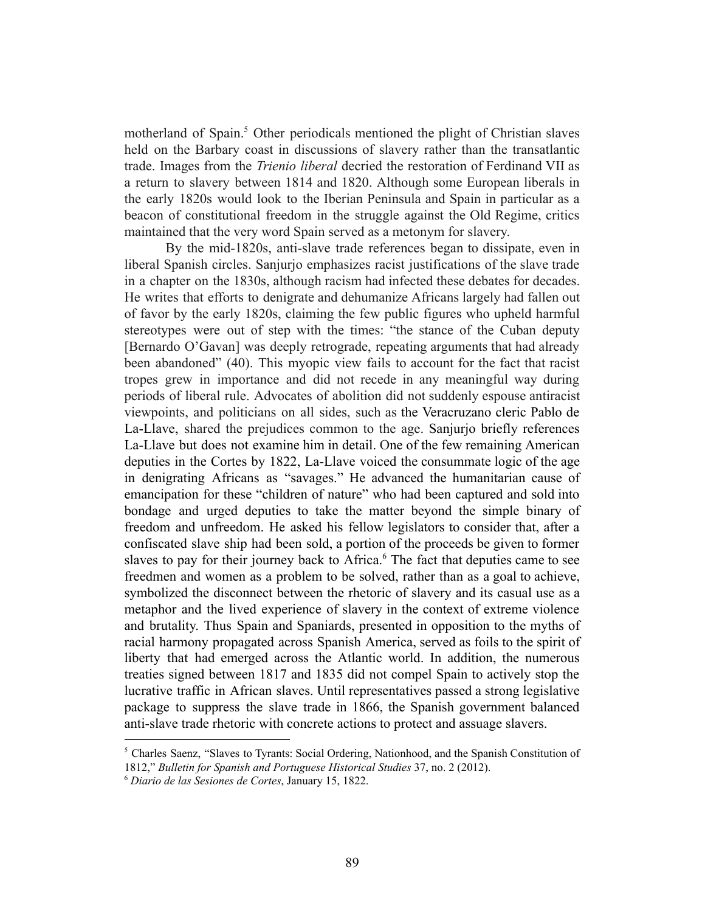motherland of Spain.<sup>5</sup> Other periodicals mentioned the plight of Christian slaves held on the Barbary coast in discussions of slavery rather than the transatlantic trade. Images from the *Trienio liberal* decried the restoration of Ferdinand VII as a return to slavery between 1814 and 1820. Although some European liberals in the early 1820s would look to the Iberian Peninsula and Spain in particular as a beacon of constitutional freedom in the struggle against the Old Regime, critics maintained that the very word Spain served as a metonym for slavery.

By the mid-1820s, anti-slave trade references began to dissipate, even in liberal Spanish circles. Sanjurjo emphasizes racist justifications of the slave trade in a chapter on the 1830s, although racism had infected these debates for decades. He writes that efforts to denigrate and dehumanize Africans largely had fallen out of favor by the early 1820s, claiming the few public figures who upheld harmful stereotypes were out of step with the times: "the stance of the Cuban deputy [Bernardo O'Gavan] was deeply retrograde, repeating arguments that had already been abandoned" (40). This myopic view fails to account for the fact that racist tropes grew in importance and did not recede in any meaningful way during periods of liberal rule. Advocates of abolition did not suddenly espouse antiracist viewpoints, and politicians on all sides, such as the Veracruzano cleric Pablo de La-Llave, shared the prejudices common to the age. Sanjurjo briefly references La-Llave but does not examine him in detail. One of the few remaining American deputies in the Cortes by 1822, La-Llave voiced the consummate logic of the age in denigrating Africans as "savages." He advanced the humanitarian cause of emancipation for these "children of nature" who had been captured and sold into bondage and urged deputies to take the matter beyond the simple binary of freedom and unfreedom. He asked his fellow legislators to consider that, after a confiscated slave ship had been sold, a portion of the proceeds be given to former slaves to pay for their journey back to Africa.<sup>6</sup> The fact that deputies came to see freedmen and women as a problem to be solved, rather than as a goal to achieve, symbolized the disconnect between the rhetoric of slavery and its casual use as a metaphor and the lived experience of slavery in the context of extreme violence and brutality. Thus Spain and Spaniards, presented in opposition to the myths of racial harmony propagated across Spanish America, served as foils to the spirit of liberty that had emerged across the Atlantic world. In addition, the numerous treaties signed between 1817 and 1835 did not compel Spain to actively stop the lucrative traffic in African slaves. Until representatives passed a strong legislative package to suppress the slave trade in 1866, the Spanish government balanced anti-slave trade rhetoric with concrete actions to protect and assuage slavers.

<sup>&</sup>lt;sup>5</sup> Charles Saenz, "Slaves to Tyrants: Social Ordering, Nationhood, and the Spanish Constitution of 1812," *Bulletin for Spanish and Portuguese Historical Studies* 37, no. 2 (2012).

<sup>6</sup> *Diario de las Sesiones de Cortes*, January 15, 1822.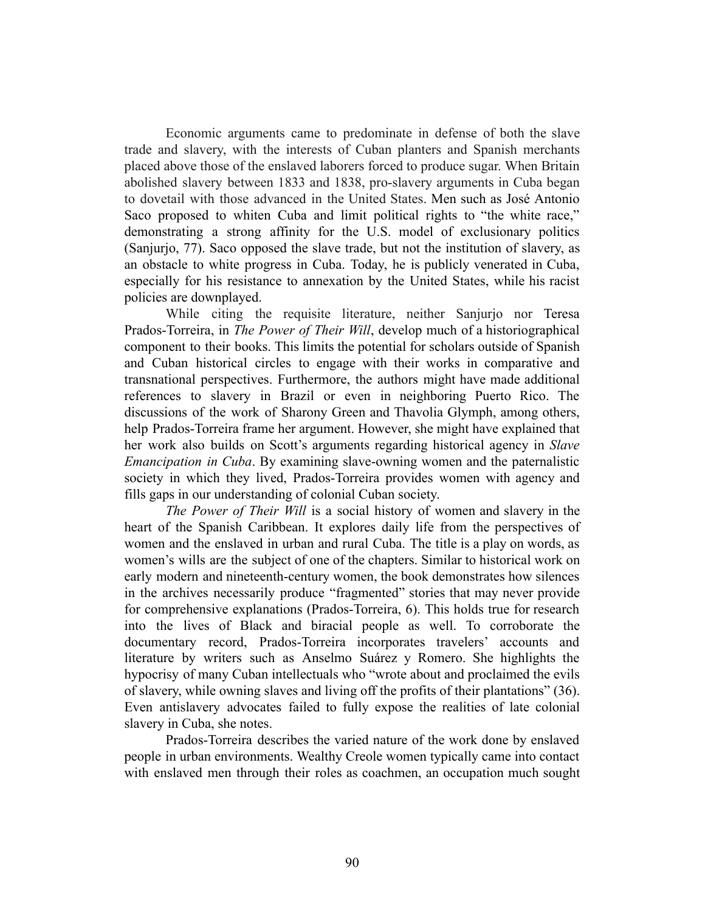Economic arguments came to predominate in defense of both the slave trade and slavery, with the interests of Cuban planters and Spanish merchants placed above those of the enslaved laborers forced to produce sugar. When Britain abolished slavery between 1833 and 1838, pro-slavery arguments in Cuba began to dovetail with those advanced in the United States. Men such as José Antonio Saco proposed to whiten Cuba and limit political rights to "the white race," demonstrating a strong affinity for the U.S. model of exclusionary politics (Sanjurjo, 77). Saco opposed the slave trade, but not the institution of slavery, as an obstacle to white progress in Cuba. Today, he is publicly venerated in Cuba, especially for his resistance to annexation by the United States, while his racist policies are downplayed.

While citing the requisite literature, neither Sanjurjo nor Teresa Prados-Torreira, in *The Power of Their Will*, develop much of a historiographical component to their books. This limits the potential for scholars outside of Spanish and Cuban historical circles to engage with their works in comparative and transnational perspectives. Furthermore, the authors might have made additional references to slavery in Brazil or even in neighboring Puerto Rico. The discussions of the work of Sharony Green and Thavolia Glymph, among others, help Prados-Torreira frame her argument. However, she might have explained that her work also builds on Scott's arguments regarding historical agency in *Slave Emancipation in Cuba*. By examining slave-owning women and the paternalistic society in which they lived, Prados-Torreira provides women with agency and fills gaps in our understanding of colonial Cuban society.

*The Power of Their Will* is a social history of women and slavery in the heart of the Spanish Caribbean. It explores daily life from the perspectives of women and the enslaved in urban and rural Cuba. The title is a play on words, as women's wills are the subject of one of the chapters. Similar to historical work on early modern and nineteenth-century women, the book demonstrates how silences in the archives necessarily produce "fragmented" stories that may never provide for comprehensive explanations (Prados-Torreira, 6). This holds true for research into the lives of Black and biracial people as well. To corroborate the documentary record, Prados-Torreira incorporates travelers' accounts and literature by writers such as Anselmo Suárez y Romero. She highlights the hypocrisy of many Cuban intellectuals who "wrote about and proclaimed the evils of slavery, while owning slaves and living off the profits of their plantations" (36). Even antislavery advocates failed to fully expose the realities of late colonial slavery in Cuba, she notes.

Prados-Torreira describes the varied nature of the work done by enslaved people in urban environments. Wealthy Creole women typically came into contact with enslaved men through their roles as coachmen, an occupation much sought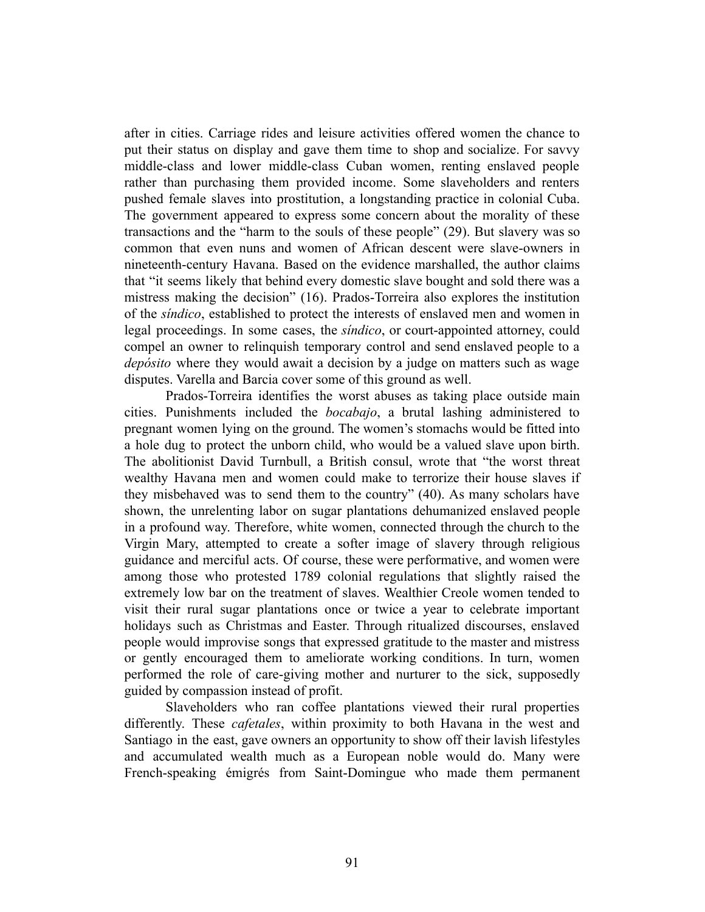after in cities. Carriage rides and leisure activities offered women the chance to put their status on display and gave them time to shop and socialize. For savvy middle-class and lower middle-class Cuban women, renting enslaved people rather than purchasing them provided income. Some slaveholders and renters pushed female slaves into prostitution, a longstanding practice in colonial Cuba. The government appeared to express some concern about the morality of these transactions and the "harm to the souls of these people" (29). But slavery was so common that even nuns and women of African descent were slave-owners in nineteenth-century Havana. Based on the evidence marshalled, the author claims that "it seems likely that behind every domestic slave bought and sold there was a mistress making the decision" (16). Prados-Torreira also explores the institution of the *síndico*, established to protect the interests of enslaved men and women in legal proceedings. In some cases, the *síndico*, or court-appointed attorney, could compel an owner to relinquish temporary control and send enslaved people to a *depósito* where they would await a decision by a judge on matters such as wage disputes. Varella and Barcia cover some of this ground as well.

Prados-Torreira identifies the worst abuses as taking place outside main cities. Punishments included the *bocabajo*, a brutal lashing administered to pregnant women lying on the ground. The women's stomachs would be fitted into a hole dug to protect the unborn child, who would be a valued slave upon birth. The abolitionist David Turnbull, a British consul, wrote that "the worst threat wealthy Havana men and women could make to terrorize their house slaves if they misbehaved was to send them to the country" (40). As many scholars have shown, the unrelenting labor on sugar plantations dehumanized enslaved people in a profound way. Therefore, white women, connected through the church to the Virgin Mary, attempted to create a softer image of slavery through religious guidance and merciful acts. Of course, these were performative, and women were among those who protested 1789 colonial regulations that slightly raised the extremely low bar on the treatment of slaves. Wealthier Creole women tended to visit their rural sugar plantations once or twice a year to celebrate important holidays such as Christmas and Easter. Through ritualized discourses, enslaved people would improvise songs that expressed gratitude to the master and mistress or gently encouraged them to ameliorate working conditions. In turn, women performed the role of care-giving mother and nurturer to the sick, supposedly guided by compassion instead of profit.

Slaveholders who ran coffee plantations viewed their rural properties differently. These *cafetales*, within proximity to both Havana in the west and Santiago in the east, gave owners an opportunity to show off their lavish lifestyles and accumulated wealth much as a European noble would do. Many were French-speaking émigrés from Saint-Domingue who made them permanent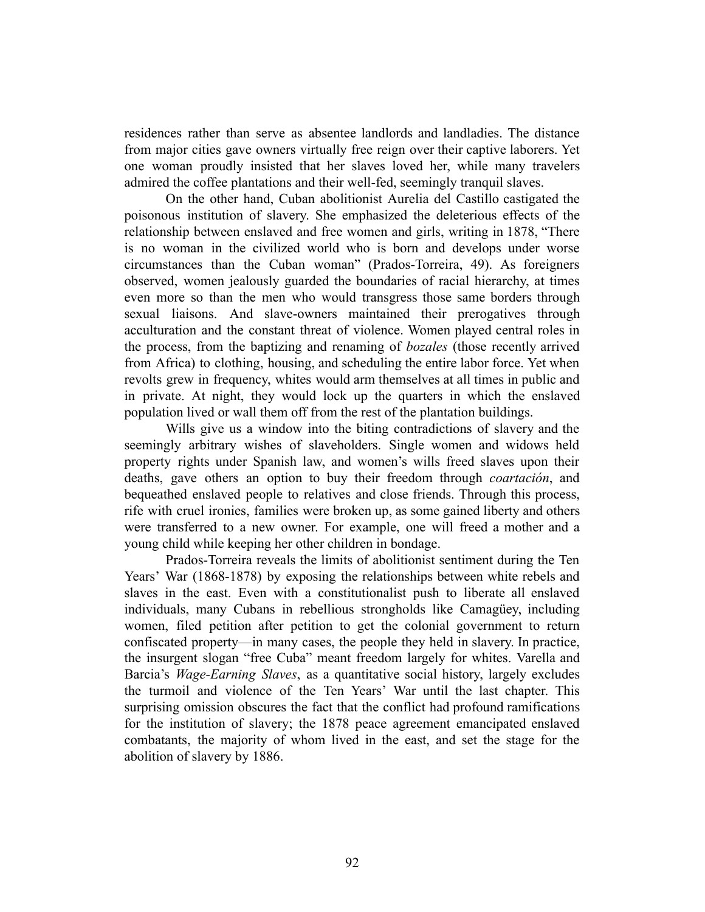residences rather than serve as absentee landlords and landladies. The distance from major cities gave owners virtually free reign over their captive laborers. Yet one woman proudly insisted that her slaves loved her, while many travelers admired the coffee plantations and their well-fed, seemingly tranquil slaves.

On the other hand, Cuban abolitionist Aurelia del Castillo castigated the poisonous institution of slavery. She emphasized the deleterious effects of the relationship between enslaved and free women and girls, writing in 1878, "There is no woman in the civilized world who is born and develops under worse circumstances than the Cuban woman" (Prados-Torreira, 49). As foreigners observed, women jealously guarded the boundaries of racial hierarchy, at times even more so than the men who would transgress those same borders through sexual liaisons. And slave-owners maintained their prerogatives through acculturation and the constant threat of violence. Women played central roles in the process, from the baptizing and renaming of *bozales* (those recently arrived from Africa) to clothing, housing, and scheduling the entire labor force. Yet when revolts grew in frequency, whites would arm themselves at all times in public and in private. At night, they would lock up the quarters in which the enslaved population lived or wall them off from the rest of the plantation buildings.

Wills give us a window into the biting contradictions of slavery and the seemingly arbitrary wishes of slaveholders. Single women and widows held property rights under Spanish law, and women's wills freed slaves upon their deaths, gave others an option to buy their freedom through *coartación*, and bequeathed enslaved people to relatives and close friends. Through this process, rife with cruel ironies, families were broken up, as some gained liberty and others were transferred to a new owner. For example, one will freed a mother and a young child while keeping her other children in bondage.

Prados-Torreira reveals the limits of abolitionist sentiment during the Ten Years' War (1868-1878) by exposing the relationships between white rebels and slaves in the east. Even with a constitutionalist push to liberate all enslaved individuals, many Cubans in rebellious strongholds like Camagüey, including women, filed petition after petition to get the colonial government to return confiscated property—in many cases, the people they held in slavery. In practice, the insurgent slogan "free Cuba" meant freedom largely for whites. Varella and Barcia's *Wage-Earning Slaves*, as a quantitative social history, largely excludes the turmoil and violence of the Ten Years' War until the last chapter. This surprising omission obscures the fact that the conflict had profound ramifications for the institution of slavery; the 1878 peace agreement emancipated enslaved combatants, the majority of whom lived in the east, and set the stage for the abolition of slavery by 1886.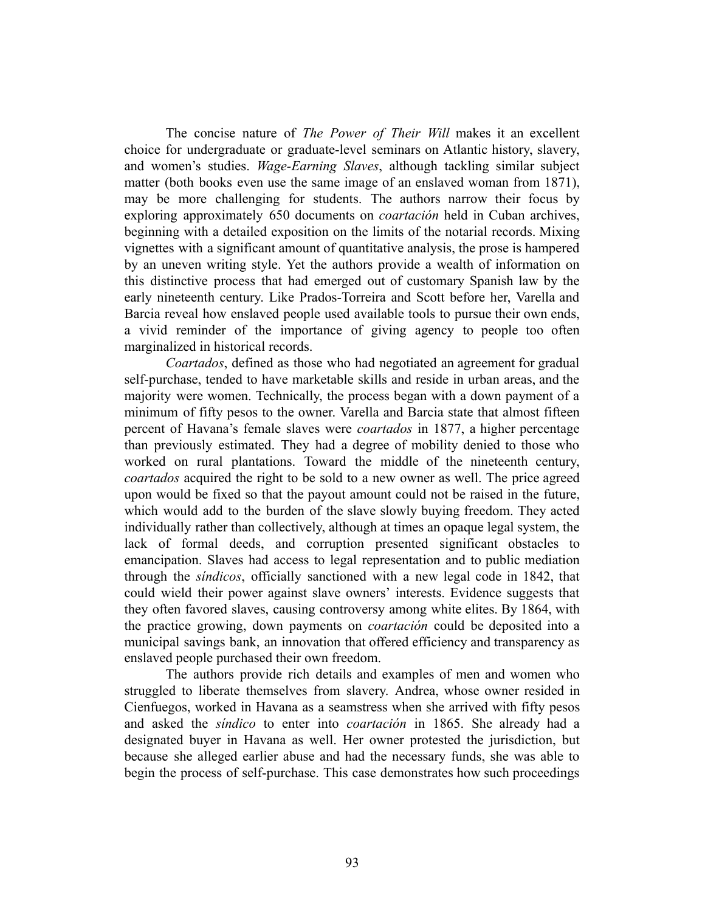The concise nature of *The Power of Their Will* makes it an excellent choice for undergraduate or graduate-level seminars on Atlantic history, slavery, and women's studies. *Wage-Earning Slaves*, although tackling similar subject matter (both books even use the same image of an enslaved woman from 1871), may be more challenging for students. The authors narrow their focus by exploring approximately 650 documents on *coartación* held in Cuban archives, beginning with a detailed exposition on the limits of the notarial records. Mixing vignettes with a significant amount of quantitative analysis, the prose is hampered by an uneven writing style. Yet the authors provide a wealth of information on this distinctive process that had emerged out of customary Spanish law by the early nineteenth century. Like Prados-Torreira and Scott before her, Varella and Barcia reveal how enslaved people used available tools to pursue their own ends, a vivid reminder of the importance of giving agency to people too often marginalized in historical records.

*Coartados*, defined as those who had negotiated an agreement for gradual self-purchase, tended to have marketable skills and reside in urban areas, and the majority were women. Technically, the process began with a down payment of a minimum of fifty pesos to the owner. Varella and Barcia state that almost fifteen percent of Havana's female slaves were *coartados* in 1877, a higher percentage than previously estimated. They had a degree of mobility denied to those who worked on rural plantations. Toward the middle of the nineteenth century, *coartados* acquired the right to be sold to a new owner as well. The price agreed upon would be fixed so that the payout amount could not be raised in the future, which would add to the burden of the slave slowly buying freedom. They acted individually rather than collectively, although at times an opaque legal system, the lack of formal deeds, and corruption presented significant obstacles to emancipation. Slaves had access to legal representation and to public mediation through the *síndicos*, officially sanctioned with a new legal code in 1842, that could wield their power against slave owners' interests. Evidence suggests that they often favored slaves, causing controversy among white elites. By 1864, with the practice growing, down payments on *coartación* could be deposited into a municipal savings bank, an innovation that offered efficiency and transparency as enslaved people purchased their own freedom.

The authors provide rich details and examples of men and women who struggled to liberate themselves from slavery. Andrea, whose owner resided in Cienfuegos, worked in Havana as a seamstress when she arrived with fifty pesos and asked the *síndico* to enter into *coartación* in 1865. She already had a designated buyer in Havana as well. Her owner protested the jurisdiction, but because she alleged earlier abuse and had the necessary funds, she was able to begin the process of self-purchase. This case demonstrates how such proceedings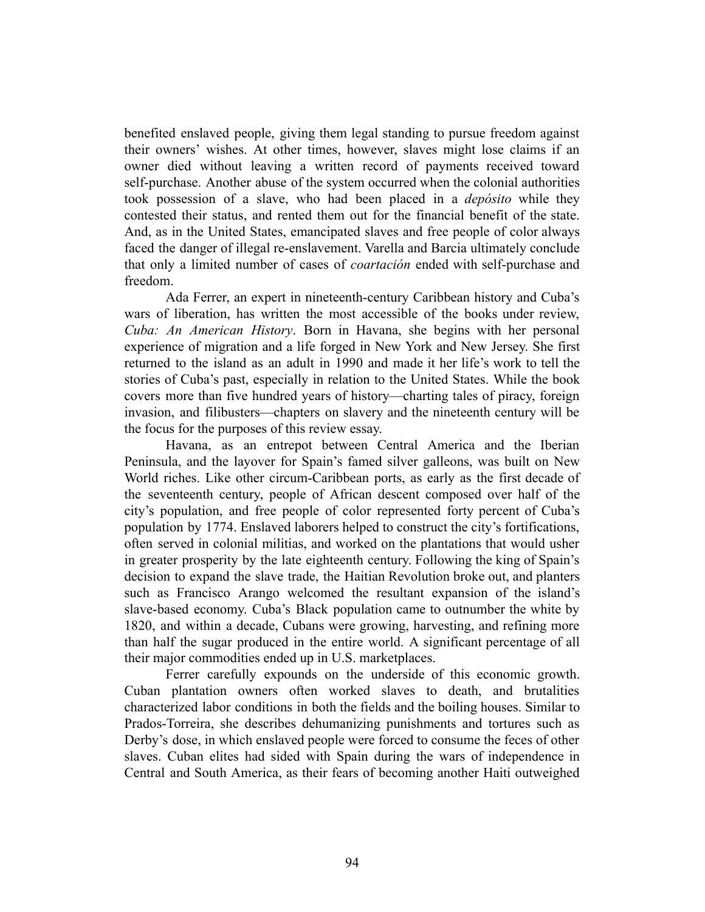benefited enslaved people, giving them legal standing to pursue freedom against their owners' wishes. At other times, however, slaves might lose claims if an owner died without leaving a written record of payments received toward self-purchase. Another abuse of the system occurred when the colonial authorities took possession of a slave, who had been placed in a *depósito* while they contested their status, and rented them out for the financial benefit of the state. And, as in the United States, emancipated slaves and free people of color always faced the danger of illegal re-enslavement. Varella and Barcia ultimately conclude that only a limited number of cases of *coartación* ended with self-purchase and freedom.

Ada Ferrer, an expert in nineteenth-century Caribbean history and Cuba's wars of liberation, has written the most accessible of the books under review, *Cuba: An American History*. Born in Havana, she begins with her personal experience of migration and a life forged in New York and New Jersey. She first returned to the island as an adult in 1990 and made it her life's work to tell the stories of Cuba's past, especially in relation to the United States. While the book covers more than five hundred years of history—charting tales of piracy, foreign invasion, and filibusters—chapters on slavery and the nineteenth century will be the focus for the purposes of this review essay.

Havana, as an entrepot between Central America and the Iberian Peninsula, and the layover for Spain's famed silver galleons, was built on New World riches. Like other circum-Caribbean ports, as early as the first decade of the seventeenth century, people of African descent composed over half of the city's population, and free people of color represented forty percent of Cuba's population by 1774. Enslaved laborers helped to construct the city's fortifications, often served in colonial militias, and worked on the plantations that would usher in greater prosperity by the late eighteenth century. Following the king of Spain's decision to expand the slave trade, the Haitian Revolution broke out, and planters such as Francisco Arango welcomed the resultant expansion of the island's slave-based economy. Cuba's Black population came to outnumber the white by 1820, and within a decade, Cubans were growing, harvesting, and refining more than half the sugar produced in the entire world. A significant percentage of all their major commodities ended up in U.S. marketplaces.

Ferrer carefully expounds on the underside of this economic growth. Cuban plantation owners often worked slaves to death, and brutalities characterized labor conditions in both the fields and the boiling houses. Similar to Prados-Torreira, she describes dehumanizing punishments and tortures such as Derby's dose, in which enslaved people were forced to consume the feces of other slaves. Cuban elites had sided with Spain during the wars of independence in Central and South America, as their fears of becoming another Haiti outweighed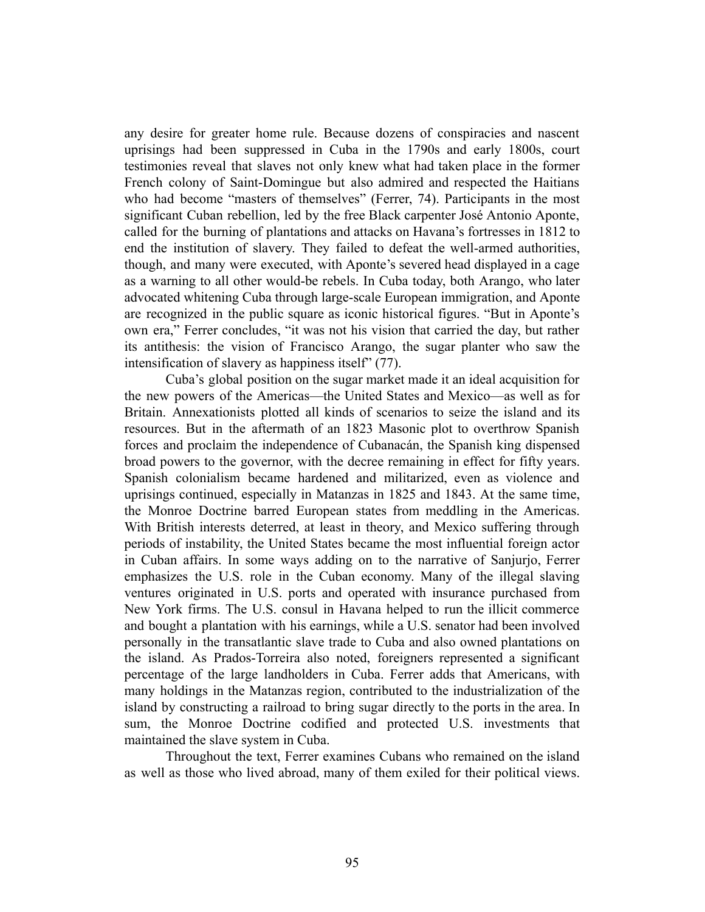any desire for greater home rule. Because dozens of conspiracies and nascent uprisings had been suppressed in Cuba in the 1790s and early 1800s, court testimonies reveal that slaves not only knew what had taken place in the former French colony of Saint-Domingue but also admired and respected the Haitians who had become "masters of themselves" (Ferrer, 74). Participants in the most significant Cuban rebellion, led by the free Black carpenter José Antonio Aponte, called for the burning of plantations and attacks on Havana's fortresses in 1812 to end the institution of slavery. They failed to defeat the well-armed authorities, though, and many were executed, with Aponte's severed head displayed in a cage as a warning to all other would-be rebels. In Cuba today, both Arango, who later advocated whitening Cuba through large-scale European immigration, and Aponte are recognized in the public square as iconic historical figures. "But in Aponte's own era," Ferrer concludes, "it was not his vision that carried the day, but rather its antithesis: the vision of Francisco Arango, the sugar planter who saw the intensification of slavery as happiness itself" (77).

Cuba's global position on the sugar market made it an ideal acquisition for the new powers of the Americas—the United States and Mexico—as well as for Britain. Annexationists plotted all kinds of scenarios to seize the island and its resources. But in the aftermath of an 1823 Masonic plot to overthrow Spanish forces and proclaim the independence of Cubanacán, the Spanish king dispensed broad powers to the governor, with the decree remaining in effect for fifty years. Spanish colonialism became hardened and militarized, even as violence and uprisings continued, especially in Matanzas in 1825 and 1843. At the same time, the Monroe Doctrine barred European states from meddling in the Americas. With British interests deterred, at least in theory, and Mexico suffering through periods of instability, the United States became the most influential foreign actor in Cuban affairs. In some ways adding on to the narrative of Sanjurjo, Ferrer emphasizes the U.S. role in the Cuban economy. Many of the illegal slaving ventures originated in U.S. ports and operated with insurance purchased from New York firms. The U.S. consul in Havana helped to run the illicit commerce and bought a plantation with his earnings, while a U.S. senator had been involved personally in the transatlantic slave trade to Cuba and also owned plantations on the island. As Prados-Torreira also noted, foreigners represented a significant percentage of the large landholders in Cuba. Ferrer adds that Americans, with many holdings in the Matanzas region, contributed to the industrialization of the island by constructing a railroad to bring sugar directly to the ports in the area. In sum, the Monroe Doctrine codified and protected U.S. investments that maintained the slave system in Cuba.

Throughout the text, Ferrer examines Cubans who remained on the island as well as those who lived abroad, many of them exiled for their political views.